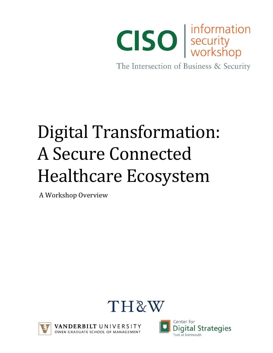

The Intersection of Business & Security

# Digital Transformation: A Secure Connected Healthcare Ecosystem

A Workshop Overview





/ANDERBILT UNIVERSITY OWEN GRADUATE SCHOOL OF MANAGEMENT

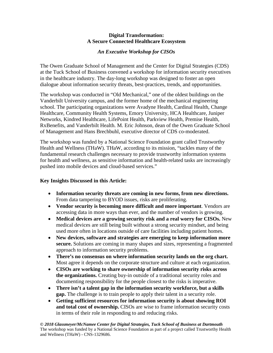#### **Digital Transformation: A Secure Connected Healthcare Ecosystem**

## *An Executive Workshop for CISOs*

The Owen Graduate School of Management and the Center for Digital Strategies (CDS) at the Tuck School of Business convened a workshop for information security executives in the healthcare industry. The day-long workshop was designed to foster an open dialogue about information security threats, best-practices, trends, and opportunities.

The workshop was conducted in "Old Mechanical," one of the oldest buildings on the Vanderbilt University campus, and the former home of the mechanical engineering school. The participating organizations were Avadyne Health, Cardinal Health, Change Healthcare, Community Health Systems, Emory University, HCA Healthcare, Juniper Networks, Kindred Healthcare, LifePoint Health, Parkview Health, Premise Health, RxBenefits, and Vanderbilt Health. M. Eric Johnson, dean of the Owen Graduate School of Management and Hans Brechbuhl, executive director of CDS co-moderated.

The workshop was funded by a National Science Foundation grant called Trustworthy Health and Wellness (THaW). THaW, according to its mission, "tackles many of the fundamental research challenges necessary to provide trustworthy information systems for health and wellness, as sensitive information and health-related tasks are increasingly pushed into mobile devices and cloud-based services."

#### **Key Insights Discussed in this Article:**

- **Information security threats are coming in new forms, from new directions.** From data tampering to BYOD issues, risks are proliferating.
- **Vendor security is becoming more difficult and more important**. Vendors are accessing data in more ways than ever, and the number of vendors is growing.
- **Medical devices are a growing security risk and a real worry for CISOs.** New medical devices are still being built without a strong security mindset, and being used more often in locations outside of care facilities including patient homes.
- **New devices, software and strategies are emerging to keep information more secure.** Solutions are coming in many shapes and sizes, representing a fragmented approach to information security problems.
- **There's no consensus on where information security lands on the org chart.**  Most agree it depends on the corporate structure and culture at each organization.
- **CISOs are working to share ownership of information security risks across the organizations.** Creating buy-in outside of a traditional security roles and documenting responsibility for the people closest to the risks is imperative.
- **There isn't a talent gap in the information security workforce, but a skills gap.** The challenge is to train people to apply their talent in a security role.
- **Getting sufficient resources for information security is about showing ROI and total cost of ownership.** CISOs are wise to frame information security costs in terms of their role in responding to and reducing risks.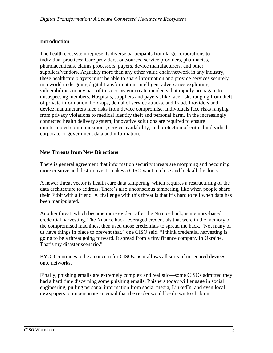# **Introduction**

The health ecosystem represents diverse participants from large corporations to individual practices: Care providers, outsourced service providers, pharmacies, pharmaceuticals, claims processors, payers, device manufacturers, and other suppliers/vendors. Arguably more than any other value chain/network in any industry, these healthcare players must be able to share information and provide services securely in a world undergoing digital transformation. Intelligent adversaries exploiting vulnerabilities in any part of this ecosystem create incidents that rapidly propagate to unsuspecting members. Hospitals, suppliers and payers alike face risks ranging from theft of private information, hold-ups, denial of service attacks, and fraud. Providers and device manufacturers face risks from device compromise. Individuals face risks ranging from privacy violations to medical identity theft and personal harm. In the increasingly connected health delivery system, innovative solutions are required to ensure uninterrupted communications, service availability, and protection of critical individual, corporate or government data and information.

#### **New Threats from New Directions**

There is general agreement that information security threats are morphing and becoming more creative and destructive. It makes a CISO want to close and lock all the doors.

A newer threat vector is health care data tampering, which requires a restructuring of the data architecture to address. There's also unconscious tampering, like when people share their Fitbit with a friend. A challenge with this threat is that it's hard to tell when data has been manipulated.

Another threat, which became more evident after the Nuance hack, is memory-based credential harvesting. The Nuance hack leveraged credentials that were in the memory of the compromised machines, then used those credentials to spread the hack. "Not many of us have things in place to prevent that," one CISO said. "I think credential harvesting is going to be a threat going forward. It spread from a tiny finance company in Ukraine. That's my disaster scenario."

BYOD continues to be a concern for CISOs, as it allows all sorts of unsecured devices onto networks.

Finally, phishing emails are extremely complex and realistic—some CISOs admitted they had a hard time discerning some phishing emails. Phishers today will engage in social engineering, pulling personal information from social media, LinkedIn, and even local newspapers to impersonate an email that the reader would be drawn to click on.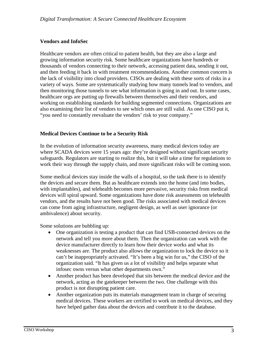# **Vendors and InfoSec**

Healthcare vendors are often critical to patient health, but they are also a large and growing information security risk. Some healthcare organizations have hundreds or thousands of vendors connecting to their network, accessing patient data, sending it out, and then feeding it back in with treatment recommendations. Another common concern is the lack of visibility into cloud providers. CISOs are dealing with these sorts of risks in a variety of ways. Some are systematically studying how many tunnels lead to vendors, and then monitoring those tunnels to see what information is going in and out. In some cases, healthcare orgs are putting up firewalls between themselves and their vendors, and working on establishing standards for building segmented connections. Organizations are also examining their list of vendors to see which ones are still valid. As one CISO put it, "you need to constantly reevaluate the vendors' risk to your company."

# **Medical Devices Continue to be a Security Risk**

In the evolution of information security awareness, many medical devices today are where SCADA devices were 15 years ago: they're designed without significant security safeguards. Regulators are starting to realize this, but it will take a time for regulations to work their way through the supply chain, and more significant risks will be coming soon.

Some medical devices stay inside the walls of a hospital, so the task there is to identify the devices and secure them. But as healthcare extends into the home (and into bodies, with implantables), and telehealth becomes more pervasive, security risks from medical devices will spiral upward. Some organizations have done risk assessments on telehealth vendors, and the results have not been good. The risks associated with medical devices can come from aging infrastructure, negligent design, as well as user ignorance (or ambivalence) about security.

Some solutions are bubbling up:

- One organization is testing a product that can find USB-connected devices on the network and tell you more about them. Then the organization can work with the device manufacturer directly to learn how their device works and what its weaknesses are. The product also allows the organization to lock the device so it can't be inappropriately activated. "It's been a big win for us," the CISO of the organization said. "It has given us a lot of visibility and helps separate what infosec owns versus what other departments own."
- Another product has been developed that sits between the medical device and the network, acting as the gatekeeper between the two. One challenge with this product is not disrupting patient care.
- Another organization puts its materials management team in charge of securing medical devices. These workers are certified to work on medical devices, and they have helped gather data about the devices and contribute it to the database.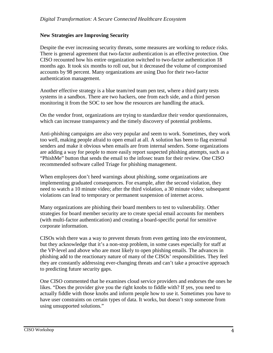#### **New Strategies are Improving Security**

Despite the ever increasing security threats, some measures are working to reduce risks. There is general agreement that two-factor authentication is an effective protection. One CISO recounted how his entire organization switched to two-factor authentication 18 months ago. It took six months to roll out, but it decreased the volume of compromised accounts by 98 percent. Many organizations are using Duo for their two-factor authentication management.

Another effective strategy is a blue team/red team pen test, where a third party tests systems in a sandbox. There are two hackers, one from each side, and a third person monitoring it from the SOC to see how the resources are handling the attack.

On the vendor front, organizations are trying to standardize their vendor questionnaires, which can increase transparency and the timely discovery of potential problems.

Anti-phishing campaigns are also very popular and seem to work. Sometimes, they work too well, making people afraid to open email at all. A solution has been to flag external senders and make it obvious when emails are from internal senders. Some organizations are adding a way for people to more easily report suspected phishing attempts, such as a "PhishMe" button that sends the email to the infosec team for their review. One CISO recommended software called Triage for phishing management.

When employees don't heed warnings about phishing, some organizations are implementing graduated consequences. For example, after the second violation, they need to watch a 10 minute video; after the third violation, a 30 minute video; subsequent violations can lead to temporary or permanent suspension of internet access.

Many organizations are phishing their board members to test to vulnerability. Other strategies for board member security are to create special email accounts for members (with multi-factor authentication) and creating a board-specific portal for sensitive corporate information.

CISOs wish there was a way to prevent threats from even getting into the environment, but they acknowledge that it's a non-stop problem, in some cases especially for staff at the VP-level and above who are most likely to open phishing emails. The advances in phishing add to the reactionary nature of many of the CISOs' responsibilities. They feel they are constantly addressing ever-changing threats and can't take a proactive approach to predicting future security gaps.

One CISO commented that he examines cloud service providers and endorses the ones he likes. "Does the provider give you the right knobs to fiddle with? If yes, you need to actually fiddle with those knobs and inform people how to use it. Sometimes you have to have user constraints on certain types of data. It works, but doesn't stop someone from using unsupported solutions."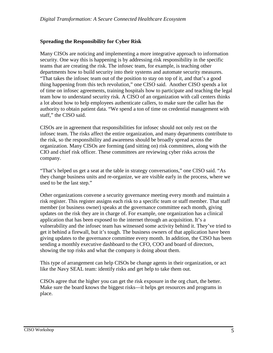## **Spreading the Responsibility for Cyber Risk**

Many CISOs are noticing and implementing a more integrative approach to information security. One way this is happening is by addressing risk responsibility in the specific teams that are creating the risk. The infosec team, for example, is teaching other departments how to build security into their systems and automate security measures. "That takes the infosec team out of the position to stay on top of it, and that's a good thing happening from this tech revolution," one CISO said. Another CISO spends a lot of time on infosec agreements, training hospitals how to participate and teaching the legal team how to understand security risk. A CISO of an organization with call centers thinks a lot about how to help employees authenticate callers, to make sure the caller has the authority to obtain patient data. "We spend a ton of time on credential management with staff," the CISO said.

CISOs are in agreement that responsibilities for infosec should not only rest on the infosec team. The risks affect the entire organization, and many departments contribute to the risk, so the responsibility and awareness should be broadly spread across the organization. Many CISOs are forming (and sitting on) risk committees, along with the CIO and chief risk officer. These committees are reviewing cyber risks across the company.

"That's helped us get a seat at the table in strategy conversations," one CISO said. "As they change business units and re-organize, we are visible early in the process, where we used to be the last step."

Other organizations convene a security governance meeting every month and maintain a risk register. This register assigns each risk to a specific team or staff member. That staff member (or business owner) speaks at the governance committee each month, giving updates on the risk they are in charge of. For example, one organization has a clinical application that has been exposed to the internet through an acquisition. It's a vulnerability and the infosec team has witnessed some activity behind it. They've tried to get it behind a firewall, but it's tough. The business owners of that application have been giving updates to the governance committee every month. In addition, the CISO has been sending a monthly executive dashboard to the CFO, COO and board of directors, showing the top risks and what the company is doing about them.

This type of arrangement can help CISOs be change agents in their organization, or act like the Navy SEAL team: identify risks and get help to take them out.

CISOs agree that the higher you can get the risk exposure in the org chart, the better. Make sure the board knows the biggest risks—it helps get resources and programs in place.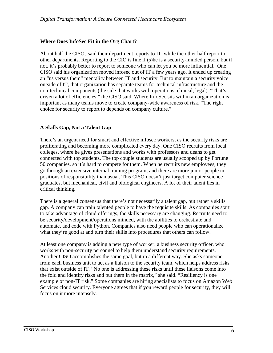# **Where Does InfoSec Fit in the Org Chart?**

About half the CISOs said their department reports to IT, while the other half report to other departments. Reporting to the CIO is fine if (s)he is a security-minded person, but if not, it's probably better to report to someone who can let you be more influential. One CISO said his organization moved infosec out of IT a few years ago. It ended up creating an "us versus them" mentality between IT and security. But to maintain a security voice outside of IT, that organization has separate teams for technical infrastructure and the non-technical components (the side that works with operations, clinical, legal). "That's driven a lot of efficiencies," the CISO said. Where InfoSec sits within an organization is important as many teams move to create company-wide awareness of risk. "The right choice for security to report to depends on company culture."

# **A Skills Gap, Not a Talent Gap**

There's an urgent need for smart and effective infosec workers, as the security risks are proliferating and becoming more complicated every day. One CISO recruits from local colleges, where he gives presentations and works with professors and deans to get connected with top students. The top couple students are usually scooped up by Fortune 50 companies, so it's hard to compete for them. When he recruits new employees, they go through an extensive internal training program, and there are more junior people in positions of responsibility than usual. This CISO doesn't just target computer science graduates, but mechanical, civil and biological engineers. A lot of their talent lies in critical thinking.

There is a general consensus that there's not necessarily a talent gap, but rather a skills gap. A company can train talented people to have the requisite skills. As companies start to take advantage of cloud offerings, the skills necessary are changing. Recruits need to be security/development/operations minded, with the abilities to orchestrate and automate, and code with Python. Companies also need people who can operationalize what they're good at and turn their skills into procedures that others can follow.

At least one company is adding a new type of worker: a business security officer, who works with non-security personnel to help them understand security requirements. Another CISO accomplishes the same goal, but in a different way. She asks someone from each business unit to act as a liaison to the security team, which helps address risks that exist outside of IT. "No one is addressing these risks until these liaisons come into the fold and identify risks and put them in the matrix," she said. "Resiliency is one example of non-IT risk." Some companies are hiring specialists to focus on Amazon Web Services cloud security. Everyone agrees that if you reward people for security, they will focus on it more intensely.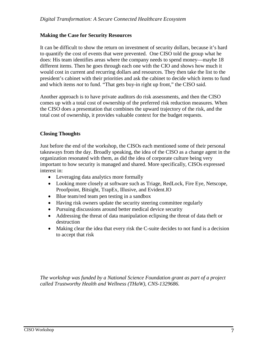#### **Making the Case for Security Resources**

It can be difficult to show the return on investment of security dollars, because it's hard to quantify the cost of events that were prevented. One CISO told the group what he does: His team identifies areas where the company needs to spend money—maybe 18 different items. Then he goes through each one with the CIO and shows how much it would cost in current and recurring dollars and resources. They then take the list to the president's cabinet with their priorities and ask the cabinet to decide which items to fund and which items *not* to fund. "That gets buy-in right up front," the CISO said.

Another approach is to have private auditors do risk assessments, and then the CISO comes up with a total cost of ownership of the preferred risk reduction measures. When the CISO does a presentation that combines the upward trajectory of the risk, and the total cost of ownership, it provides valuable context for the budget requests.

#### **Closing Thoughts**

Just before the end of the workshop, the CISOs each mentioned some of their personal takeaways from the day. Broadly speaking, the idea of the CISO as a change agent in the organization resonated with them, as did the idea of corporate culture being very important to how security is managed and shared. More specifically, CISOs expressed interest in:

- Leveraging data analytics more formally
- Looking more closely at software such as Triage, RedLock, Fire Eye, Netscope, Proofpoint, Bitsight, TrapEx, Illusive, and Evident.IO
- Blue team/red team pen testing in a sandbox
- Having risk owners update the security steering committee regularly
- Pursuing discussions around better medical device security
- Addressing the threat of data manipulation eclipsing the threat of data theft or destruction
- Making clear the idea that every risk the C-suite decides to not fund is a decision to accept that risk

*The workshop was funded by a National Science Foundation grant as part of a project called Trustworthy Health and Wellness (THaW), CNS-1329686.*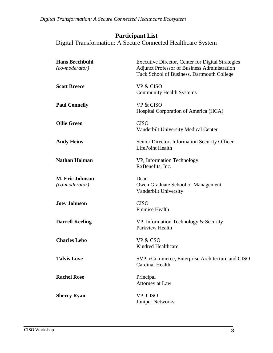*Digital Transformation: A Secure Connected Healthcare Ecosystem*

# **Participant List**

Digital Transformation: A Secure Connected Healthcare System

| <b>Hans Brechbühl</b><br>$(co$ -moderator) | <b>Executive Director, Center for Digital Strategies</b><br><b>Adjunct Professor of Business Administration</b><br>Tuck School of Business, Dartmouth College |
|--------------------------------------------|---------------------------------------------------------------------------------------------------------------------------------------------------------------|
| <b>Scott Breece</b>                        | <b>VP &amp; CISO</b><br><b>Community Health Systems</b>                                                                                                       |
| <b>Paul Connelly</b>                       | <b>VP &amp; CISO</b><br>Hospital Corporation of America (HCA)                                                                                                 |
| <b>Ollie Green</b>                         | <b>CISO</b><br><b>Vanderbilt University Medical Center</b>                                                                                                    |
| <b>Andy Heins</b>                          | Senior Director, Information Security Officer<br>LifePoint Health                                                                                             |
| <b>Nathan Holman</b>                       | VP, Information Technology<br>RxBenefits, Inc.                                                                                                                |
| <b>M. Eric Johnson</b><br>(co-moderator)   | Dean<br>Owen Graduate School of Management<br>Vanderbilt University                                                                                           |
| <b>Joey Johnson</b>                        | <b>CISO</b><br><b>Premise Health</b>                                                                                                                          |
| <b>Darrell Keeling</b>                     | VP, Information Technology & Security<br>Parkview Health                                                                                                      |
| <b>Charles Lebo</b>                        | VP & CSO<br>Kindred Healthcare                                                                                                                                |
| <b>Talvis Love</b>                         | SVP, eCommerce, Enterprise Architecture and CISO<br><b>Cardinal Health</b>                                                                                    |
| <b>Rachel Rose</b>                         | Principal<br>Attorney at Law                                                                                                                                  |
| <b>Sherry Ryan</b>                         | VP, CISO<br><b>Juniper Networks</b>                                                                                                                           |